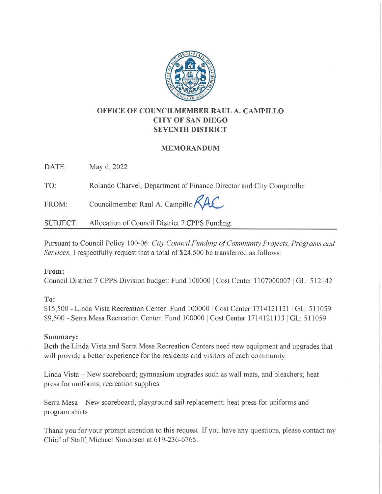

# **OFFICE OF COUNCILMEMBER RAUL A. CAMPILLO CITY OF SAN DIEGO SEVENTH DISTRICT**

### **MEMORANDUM**

DATE: May 6, 2022

TO: Rolando Charvel, Department of Finance Director and City Comptroller

FROM: Councilmember Raul A. Campillo

SUBJECT: Allocation of Council District 7 CPPS Funding

Pursuant to Council Policy 100-06: *City Council Funding of Comnnmity Projects, Programs and Services,* I respectfully request that a total of \$24,500 be transferred as follows:

### **From:**

Council District 7 CPPS Division budget: Fund 100000 I Cost Center 1107000007 I GL: 512142

# **To:**

\$15,500 - Linda Vista Recreation Center: Fund 100000 I Cost Center 1714121121 I GL: 511059 \$9,500 - Serra Mesa Recreation Center: Fund 100000 I Cost Center 1714121133 I GL: 511059

# **Summary:**

Both the Linda Vista and Serra Mesa Recreation Centers need new equipment and upgrades that will provide a better experience for the residents and visitors of each community.

Linda Vista – New scoreboard; gymnasium upgrades such as wall mats, and bleachers; heat press for uniforms; recreation supplies

Serra Mesa - New scoreboard; playground sail replacement; heat press for uniforms and program shirts

Thank you for your prompt attention to this request. If you have any questions, please contact my Chief of Staff, Michael Simonsen at 619-236-6765.